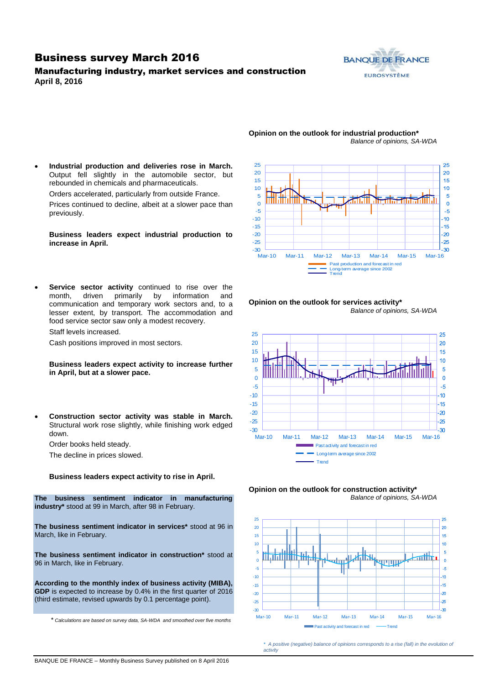## Business survey March 2016

### Manufacturing industry, market services and construction **April 8, 2016**



### **Opinion on the outlook for industrial production\*** *Balance of opinions, SA-WDA*

 **Industrial production and deliveries rose in March.**  Output fell slightly in the automobile sector, but rebounded in chemicals and pharmaceuticals.

Orders accelerated, particularly from outside France.

Prices continued to decline, albeit at a slower pace than previously.

**Business leaders expect industrial production to increase in April.**

 **Service sector activity** continued to rise over the month, driven primarily by information and communication and temporary work sectors and, to a lesser extent, by transport. The accommodation and food service sector saw only a modest recovery.

Staff levels increased.

Cash positions improved in most sectors.

**Business leaders expect activity to increase further in April, but at a slower pace.**

 **Construction sector activity was stable in March.**  Structural work rose slightly, while finishing work edged down.

Order books held steady.

The decline in prices slowed.

**Business leaders expect activity to rise in April.**

**The business sentiment indicator in manufacturing industry\*** stood at 99 in March, after 98 in February.

**The business sentiment indicator in services\*** stood at 96 in March, like in February.

**The business sentiment indicator in construction\*** stood at 96 in March, like in February.

**According to the monthly index of business activity (MIBA), GDP** is expected to increase by 0.4% in the first quarter of 2016 (third estimate, revised upwards by 0.1 percentage point).

\* *Calculations are based on survey data, SA-WDA and smoothed over five months*



#### **Opinion on the outlook for services activity\*** *Balance of opinions, SA-WDA*







*\* A positive (negative) balance of opinions corresponds to a rise (fall) in the evolution of activity*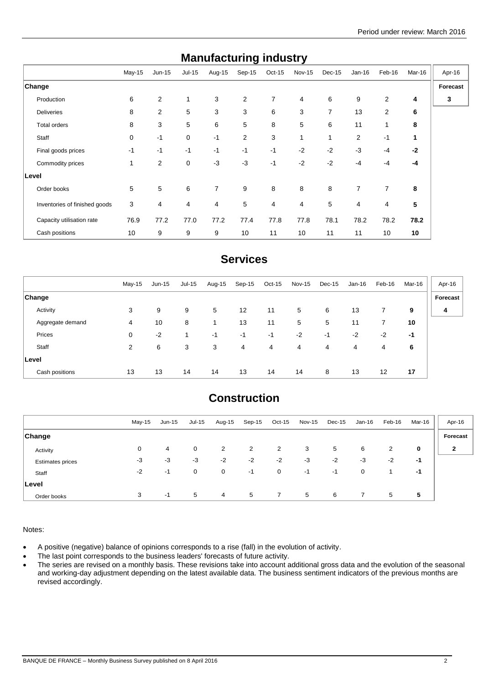| manuracturniy muusti y        |             |                |             |                |                |          |        |                |          |                |        |          |
|-------------------------------|-------------|----------------|-------------|----------------|----------------|----------|--------|----------------|----------|----------------|--------|----------|
|                               | $May-15$    | $Jun-15$       | Jul-15      | Aug-15         | Sep-15         | $Oct-15$ | Nov-15 | Dec-15         | $Jan-16$ | Feb-16         | Mar-16 | Apr-16   |
| Change                        |             |                |             |                |                |          |        |                |          |                |        | Forecast |
| Production                    | 6           | $\overline{2}$ | 1           | 3              | $\overline{2}$ | 7        | 4      | 6              | 9        | $\overline{2}$ | 4      | 3        |
| <b>Deliveries</b>             | 8           | 2              | 5           | 3              | 3              | 6        | 3      | $\overline{7}$ | 13       | 2              | 6      |          |
| Total orders                  | 8           | 3              | 5           | 6              | 5              | 8        | 5      | 6              | 11       | 1              | 8      |          |
| Staff                         | $\mathbf 0$ | $-1$           | 0           | $-1$           | $\overline{2}$ | 3        | 1      | 1              | 2        | $-1$           | 1      |          |
| Final goods prices            | $-1$        | $-1$           | $-1$        | $-1$           | $-1$           | $-1$     | $-2$   | $-2$           | $-3$     | $-4$           | $-2$   |          |
| Commodity prices              | 1           | $\overline{2}$ | $\mathbf 0$ | $-3$           | $-3$           | $-1$     | $-2$   | $-2$           | $-4$     | $-4$           | $-4$   |          |
| Level                         |             |                |             |                |                |          |        |                |          |                |        |          |
| Order books                   | 5           | 5              | 6           | $\overline{7}$ | 9              | 8        | 8      | 8              | 7        | $\overline{7}$ | 8      |          |
| Inventories of finished goods | 3           | 4              | 4           | 4              | 5              | 4        | 4      | 5              | 4        | 4              | 5      |          |
| Capacity utilisation rate     | 76.9        | 77.2           | 77.0        | 77.2           | 77.4           | 77.8     | 77.8   | 78.1           | 78.2     | 78.2           | 78.2   |          |
| Cash positions                | 10          | 9              | 9           | 9              | 10             | 11       | 10     | 11             | 11       | 10             | 10     |          |

# **Manufacturing industry**

## **Services**

|                  | $May-15$ | $Jun-15$ | Jul-15 | Aug-15 | Sep-15 | $Oct-15$ | <b>Nov-15</b> | Dec-15 | Jan-16 | Feb-16 | Mar-16 | Apr-16   |
|------------------|----------|----------|--------|--------|--------|----------|---------------|--------|--------|--------|--------|----------|
| <b>Change</b>    |          |          |        |        |        |          |               |        |        |        |        | Forecast |
| Activity         | 3        | 9        | 9      | 5      | 12     | 11       | 5             | 6      | 13     | 7      | 9      | 4        |
| Aggregate demand | 4        | 10       | 8      | 1      | 13     | 11       | 5             | 5      | 11     | 7      | 10     |          |
| Prices           | 0        | $-2$     |        | $-1$   | -1     | $-1$     | $-2$          | $-1$   | $-2$   | $-2$   | -1     |          |
| Staff            | 2        | 6        | 3      | 3      | 4      | 4        | 4             | 4      | 4      | 4      | 6      |          |
| ∣Level           |          |          |        |        |        |          |               |        |        |        |        |          |
| Cash positions   | 13       | 13       | 14     | 14     | 13     | 14       | 14            | 8      | 13     | 12     | 17     |          |

# **Construction**

|                         | May-15 | Jun-15 | Jul-15      | Aug-15 | Sep-15 | $Oct-15$       | Nov-15 | Dec-15 | Jan-16 | Feb-16 | Mar-16 | Apr-16       |
|-------------------------|--------|--------|-------------|--------|--------|----------------|--------|--------|--------|--------|--------|--------------|
| <b>Change</b>           |        |        |             |        |        |                |        |        |        |        |        | Forecast     |
| Activity                | 0      | 4      | $\mathbf 0$ | 2      | 2      | 2              | 3      | 5      | 6      | 2      | 0      | $\mathbf{2}$ |
| <b>Estimates prices</b> | -3     | -3     | $-3$        | $-2$   | $-2$   | $-2$           | $-3$   | $-2$   | $-3$   | $-2$   | -1     |              |
| Staff                   | $-2$   | $-1$   | $\mathbf 0$ | 0      | $-1$   | $\mathbf 0$    | -1     | -1     | 0      |        | -1     |              |
| Level                   |        |        |             |        |        |                |        |        |        |        |        |              |
| Order books             | 3      | $-1$   | 5           | 4      | 5      | $\overline{7}$ | 5      | 6      | 7      | 5      | 5      |              |

Notes:

- A positive (negative) balance of opinions corresponds to a rise (fall) in the evolution of activity.
- The last point corresponds to the business leaders' forecasts of future activity.
- The series are revised on a monthly basis. These revisions take into account additional gross data and the evolution of the seasonal and working-day adjustment depending on the latest available data. The business sentiment indicators of the previous months are revised accordingly.